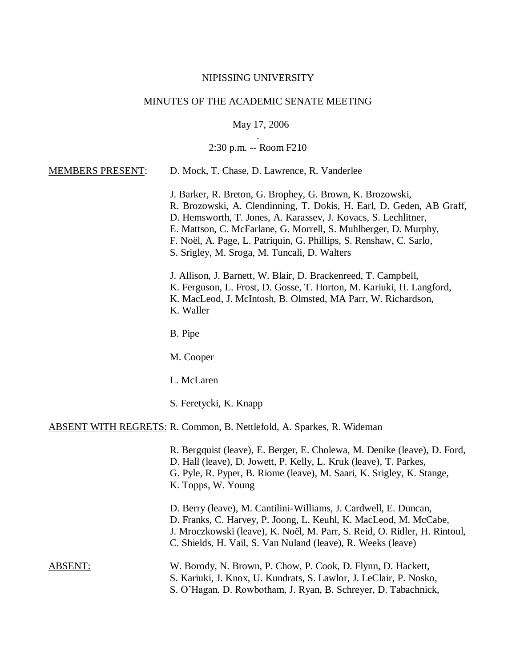#### NIPISSING UNIVERSITY

# MINUTES OF THE ACADEMIC SENATE MEETING

May 17, 2006

## . 2:30 p.m. -- Room F210

#### MEMBERS PRESENT: D. Mock, T. Chase, D. Lawrence, R. Vanderlee

J. Barker, R. Breton, G. Brophey, G. Brown, K. Brozowski, R. Brozowski, A. Clendinning, T. Dokis, H. Earl, D. Geden, AB Graff, D. Hemsworth, T. Jones, A. Karassev, J. Kovacs, S. Lechlitner, E. Mattson, C. McFarlane, G. Morrell, S. Muhlberger, D. Murphy, F. Noël, A. Page, L. Patriquin, G. Phillips, S. Renshaw, C. Sarlo, S. Srigley, M. Sroga, M. Tuncali, D. Walters

J. Allison, J. Barnett, W. Blair, D. Brackenreed, T. Campbell, K. Ferguson, L. Frost, D. Gosse, T. Horton, M. Kariuki, H. Langford, K. MacLeod, J. McIntosh, B. Olmsted, MA Parr, W. Richardson, K. Waller

B. Pipe

M. Cooper

L. McLaren

S. Feretycki, K. Knapp

#### ABSENT WITH REGRETS: R. Common, B. Nettlefold, A. Sparkes, R. Wideman

R. Bergquist (leave), E. Berger, E. Cholewa, M. Denike (leave), D. Ford, D. Hall (leave), D. Jowett, P. Kelly, L. Kruk (leave), T. Parkes, G. Pyle, R. Pyper, B. Riome (leave), M. Saari, K. Srigley, K. Stange, K. Topps, W. Young

D. Berry (leave), M. Cantilini-Williams, J. Cardwell, E. Duncan, D. Franks, C. Harvey, P. Joong, L. Keuhl, K. MacLeod, M. McCabe, J. Mroczkowski (leave), K. Noël, M. Parr, S. Reid, O. Ridler, H. Rintoul, C. Shields, H. Vail, S. Van Nuland (leave), R. Weeks (leave)

| ABSENT: | W. Borody, N. Brown, P. Chow, P. Cook, D. Flynn, D. Hackett,       |
|---------|--------------------------------------------------------------------|
|         | S. Kariuki, J. Knox, U. Kundrats, S. Lawlor, J. LeClair, P. Nosko, |
|         | S. O'Hagan, D. Rowbotham, J. Ryan, B. Schreyer, D. Tabachnick,     |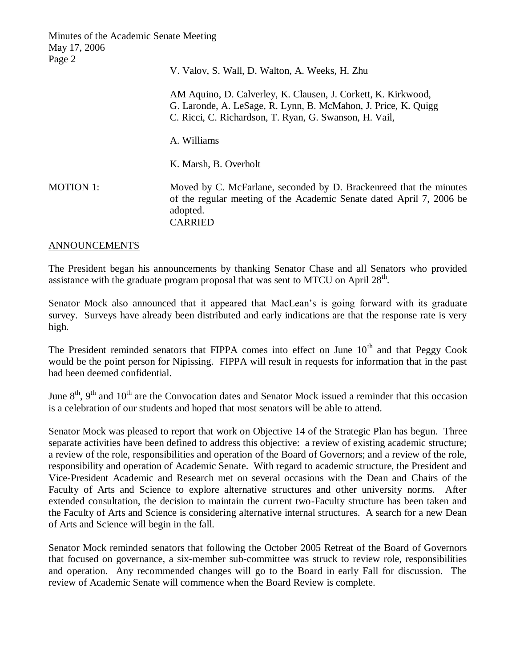V. Valov, S. Wall, D. Walton, A. Weeks, H. Zhu AM Aquino, D. Calverley, K. Clausen, J. Corkett, K. Kirkwood, G. Laronde, A. LeSage, R. Lynn, B. McMahon, J. Price, K. Quigg C. Ricci, C. Richardson, T. Ryan, G. Swanson, H. Vail, A. Williams K. Marsh, B. Overholt MOTION 1: Moved by C. McFarlane, seconded by D. Brackenreed that the minutes of the regular meeting of the Academic Senate dated April 7, 2006 be adopted. CARRIED

#### ANNOUNCEMENTS

The President began his announcements by thanking Senator Chase and all Senators who provided assistance with the graduate program proposal that was sent to MTCU on April  $28<sup>th</sup>$ .

Senator Mock also announced that it appeared that MacLean's is going forward with its graduate survey. Surveys have already been distributed and early indications are that the response rate is very high.

The President reminded senators that FIPPA comes into effect on June 10<sup>th</sup> and that Peggy Cook would be the point person for Nipissing. FIPPA will result in requests for information that in the past had been deemed confidential.

June  $8<sup>th</sup>$ ,  $9<sup>th</sup>$  and  $10<sup>th</sup>$  are the Convocation dates and Senator Mock issued a reminder that this occasion is a celebration of our students and hoped that most senators will be able to attend.

Senator Mock was pleased to report that work on Objective 14 of the Strategic Plan has begun. Three separate activities have been defined to address this objective: a review of existing academic structure; a review of the role, responsibilities and operation of the Board of Governors; and a review of the role, responsibility and operation of Academic Senate. With regard to academic structure, the President and Vice-President Academic and Research met on several occasions with the Dean and Chairs of the Faculty of Arts and Science to explore alternative structures and other university norms. After extended consultation, the decision to maintain the current two-Faculty structure has been taken and the Faculty of Arts and Science is considering alternative internal structures. A search for a new Dean of Arts and Science will begin in the fall.

Senator Mock reminded senators that following the October 2005 Retreat of the Board of Governors that focused on governance, a six-member sub-committee was struck to review role, responsibilities and operation. Any recommended changes will go to the Board in early Fall for discussion. The review of Academic Senate will commence when the Board Review is complete.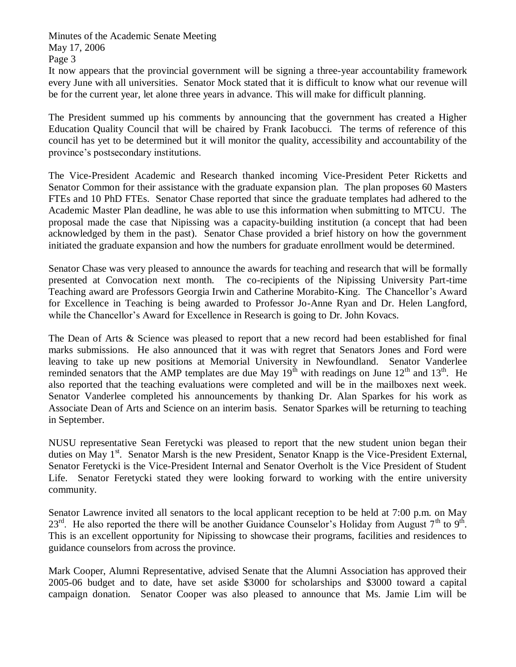It now appears that the provincial government will be signing a three-year accountability framework every June with all universities. Senator Mock stated that it is difficult to know what our revenue will be for the current year, let alone three years in advance. This will make for difficult planning.

The President summed up his comments by announcing that the government has created a Higher Education Quality Council that will be chaired by Frank Iacobucci. The terms of reference of this council has yet to be determined but it will monitor the quality, accessibility and accountability of the province's postsecondary institutions.

The Vice-President Academic and Research thanked incoming Vice-President Peter Ricketts and Senator Common for their assistance with the graduate expansion plan. The plan proposes 60 Masters FTEs and 10 PhD FTEs. Senator Chase reported that since the graduate templates had adhered to the Academic Master Plan deadline, he was able to use this information when submitting to MTCU. The proposal made the case that Nipissing was a capacity-building institution (a concept that had been acknowledged by them in the past). Senator Chase provided a brief history on how the government initiated the graduate expansion and how the numbers for graduate enrollment would be determined.

Senator Chase was very pleased to announce the awards for teaching and research that will be formally presented at Convocation next month. The co-recipients of the Nipissing University Part-time Teaching award are Professors Georgia Irwin and Catherine Morabito-King. The Chancellor's Award for Excellence in Teaching is being awarded to Professor Jo-Anne Ryan and Dr. Helen Langford, while the Chancellor's Award for Excellence in Research is going to Dr. John Kovacs.

The Dean of Arts & Science was pleased to report that a new record had been established for final marks submissions. He also announced that it was with regret that Senators Jones and Ford were leaving to take up new positions at Memorial University in Newfoundland. Senator Vanderlee reminded senators that the AMP templates are due May  $19<sup>th</sup>$  with readings on June  $12<sup>th</sup>$  and  $13<sup>th</sup>$ . He also reported that the teaching evaluations were completed and will be in the mailboxes next week. Senator Vanderlee completed his announcements by thanking Dr. Alan Sparkes for his work as Associate Dean of Arts and Science on an interim basis. Senator Sparkes will be returning to teaching in September.

NUSU representative Sean Feretycki was pleased to report that the new student union began their duties on May 1<sup>st</sup>. Senator Marsh is the new President, Senator Knapp is the Vice-President External, Senator Feretycki is the Vice-President Internal and Senator Overholt is the Vice President of Student Life. Senator Feretycki stated they were looking forward to working with the entire university community.

Senator Lawrence invited all senators to the local applicant reception to be held at 7:00 p.m. on May  $23^{\text{rd}}$ . He also reported the there will be another Guidance Counselor's Holiday from August 7<sup>th</sup> to 9<sup>th</sup>. This is an excellent opportunity for Nipissing to showcase their programs, facilities and residences to guidance counselors from across the province.

Mark Cooper, Alumni Representative, advised Senate that the Alumni Association has approved their 2005-06 budget and to date, have set aside \$3000 for scholarships and \$3000 toward a capital campaign donation. Senator Cooper was also pleased to announce that Ms. Jamie Lim will be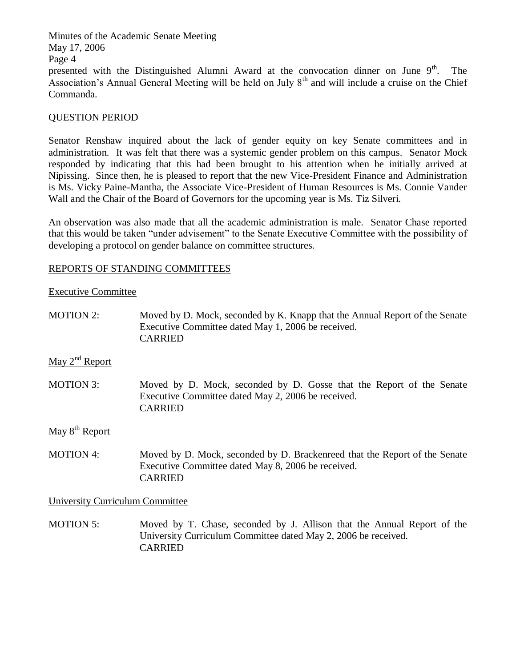Minutes of the Academic Senate Meeting May 17, 2006 Page 4 presented with the Distinguished Alumni Award at the convocation dinner on June  $9<sup>th</sup>$ . The Association's Annual General Meeting will be held on July  $8<sup>th</sup>$  and will include a cruise on the Chief Commanda.

# QUESTION PERIOD

Senator Renshaw inquired about the lack of gender equity on key Senate committees and in administration. It was felt that there was a systemic gender problem on this campus. Senator Mock responded by indicating that this had been brought to his attention when he initially arrived at Nipissing. Since then, he is pleased to report that the new Vice-President Finance and Administration is Ms. Vicky Paine-Mantha, the Associate Vice-President of Human Resources is Ms. Connie Vander Wall and the Chair of the Board of Governors for the upcoming year is Ms. Tiz Silveri.

An observation was also made that all the academic administration is male. Senator Chase reported that this would be taken "under advisement" to the Senate Executive Committee with the possibility of developing a protocol on gender balance on committee structures.

## REPORTS OF STANDING COMMITTEES

### Executive Committee

| MOTION 2: | Moved by D. Mock, seconded by K. Knapp that the Annual Report of the Senate<br>Executive Committee dated May 1, 2006 be received.<br><b>CARRIED</b> |
|-----------|-----------------------------------------------------------------------------------------------------------------------------------------------------|
|           |                                                                                                                                                     |

May  $2<sup>nd</sup>$  Report

MOTION 3: Moved by D. Mock, seconded by D. Gosse that the Report of the Senate Executive Committee dated May 2, 2006 be received. CARRIED

May  $8<sup>th</sup>$  Report

MOTION 4: Moved by D. Mock, seconded by D. Brackenreed that the Report of the Senate Executive Committee dated May 8, 2006 be received. CARRIED

University Curriculum Committee

MOTION 5: Moved by T. Chase, seconded by J. Allison that the Annual Report of the University Curriculum Committee dated May 2, 2006 be received. CARRIED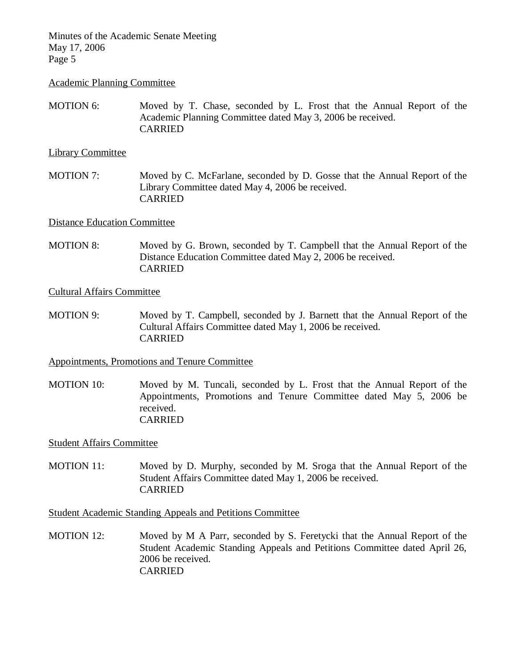#### Academic Planning Committee

MOTION 6: Moved by T. Chase, seconded by L. Frost that the Annual Report of the Academic Planning Committee dated May 3, 2006 be received. CARRIED

### Library Committee

MOTION 7: Moved by C. McFarlane, seconded by D. Gosse that the Annual Report of the Library Committee dated May 4, 2006 be received. CARRIED

## Distance Education Committee

MOTION 8: Moved by G. Brown, seconded by T. Campbell that the Annual Report of the Distance Education Committee dated May 2, 2006 be received. CARRIED

## Cultural Affairs Committee

MOTION 9: Moved by T. Campbell, seconded by J. Barnett that the Annual Report of the Cultural Affairs Committee dated May 1, 2006 be received. CARRIED

### Appointments, Promotions and Tenure Committee

MOTION 10: Moved by M. Tuncali, seconded by L. Frost that the Annual Report of the Appointments, Promotions and Tenure Committee dated May 5, 2006 be received. CARRIED

### Student Affairs Committee

MOTION 11: Moved by D. Murphy, seconded by M. Sroga that the Annual Report of the Student Affairs Committee dated May 1, 2006 be received. CARRIED

Student Academic Standing Appeals and Petitions Committee

MOTION 12: Moved by M A Parr, seconded by S. Feretycki that the Annual Report of the Student Academic Standing Appeals and Petitions Committee dated April 26, 2006 be received. CARRIED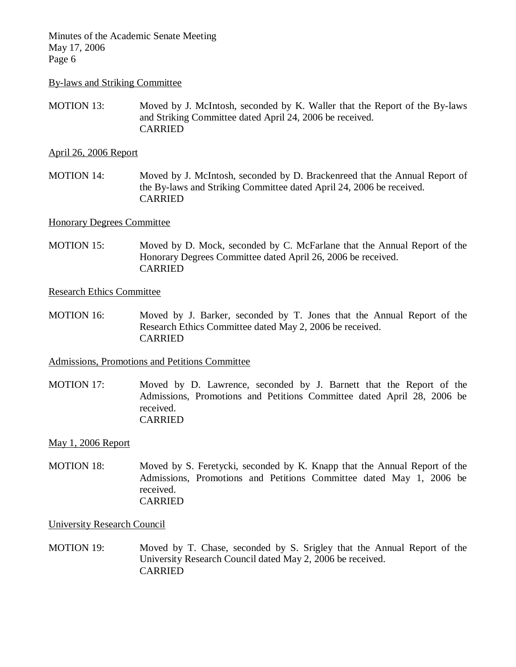#### By-laws and Striking Committee

MOTION 13: Moved by J. McIntosh, seconded by K. Waller that the Report of the By-laws and Striking Committee dated April 24, 2006 be received. CARRIED

### April 26, 2006 Report

MOTION 14: Moved by J. McIntosh, seconded by D. Brackenreed that the Annual Report of the By-laws and Striking Committee dated April 24, 2006 be received. CARRIED

## Honorary Degrees Committee

MOTION 15: Moved by D. Mock, seconded by C. McFarlane that the Annual Report of the Honorary Degrees Committee dated April 26, 2006 be received. CARRIED

#### Research Ethics Committee

MOTION 16: Moved by J. Barker, seconded by T. Jones that the Annual Report of the Research Ethics Committee dated May 2, 2006 be received. CARRIED

### Admissions, Promotions and Petitions Committee

MOTION 17: Moved by D. Lawrence, seconded by J. Barnett that the Report of the Admissions, Promotions and Petitions Committee dated April 28, 2006 be received. CARRIED

### May 1, 2006 Report

MOTION 18: Moved by S. Feretycki, seconded by K. Knapp that the Annual Report of the Admissions, Promotions and Petitions Committee dated May 1, 2006 be received. CARRIED

#### University Research Council

MOTION 19: Moved by T. Chase, seconded by S. Srigley that the Annual Report of the University Research Council dated May 2, 2006 be received. **CARRIED**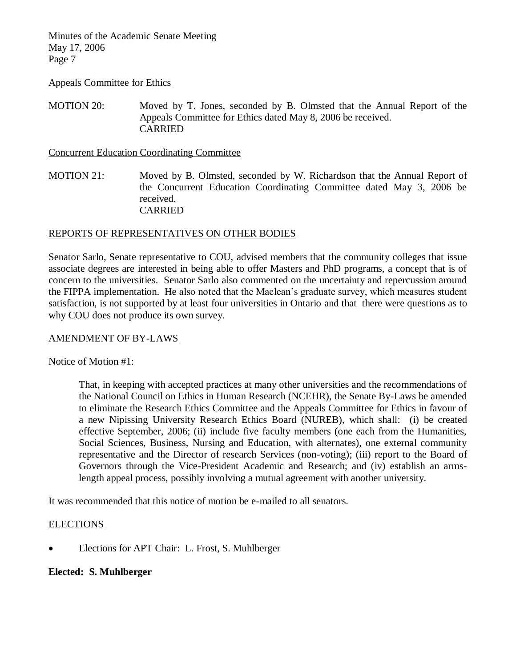Appeals Committee for Ethics

MOTION 20: Moved by T. Jones, seconded by B. Olmsted that the Annual Report of the Appeals Committee for Ethics dated May 8, 2006 be received. CARRIED

Concurrent Education Coordinating Committee

MOTION 21: Moved by B. Olmsted, seconded by W. Richardson that the Annual Report of the Concurrent Education Coordinating Committee dated May 3, 2006 be received. CARRIED

## REPORTS OF REPRESENTATIVES ON OTHER BODIES

Senator Sarlo, Senate representative to COU, advised members that the community colleges that issue associate degrees are interested in being able to offer Masters and PhD programs, a concept that is of concern to the universities. Senator Sarlo also commented on the uncertainty and repercussion around the FIPPA implementation. He also noted that the Maclean's graduate survey, which measures student satisfaction, is not supported by at least four universities in Ontario and that there were questions as to why COU does not produce its own survey.

## AMENDMENT OF BY-LAWS

Notice of Motion #1:

That, in keeping with accepted practices at many other universities and the recommendations of the National Council on Ethics in Human Research (NCEHR), the Senate By-Laws be amended to eliminate the Research Ethics Committee and the Appeals Committee for Ethics in favour of a new Nipissing University Research Ethics Board (NUREB), which shall: (i) be created effective September, 2006; (ii) include five faculty members (one each from the Humanities, Social Sciences, Business, Nursing and Education, with alternates), one external community representative and the Director of research Services (non-voting); (iii) report to the Board of Governors through the Vice-President Academic and Research; and (iv) establish an armslength appeal process, possibly involving a mutual agreement with another university.

It was recommended that this notice of motion be e-mailed to all senators.

### **ELECTIONS**

Elections for APT Chair: L. Frost, S. Muhlberger

# **Elected: S. Muhlberger**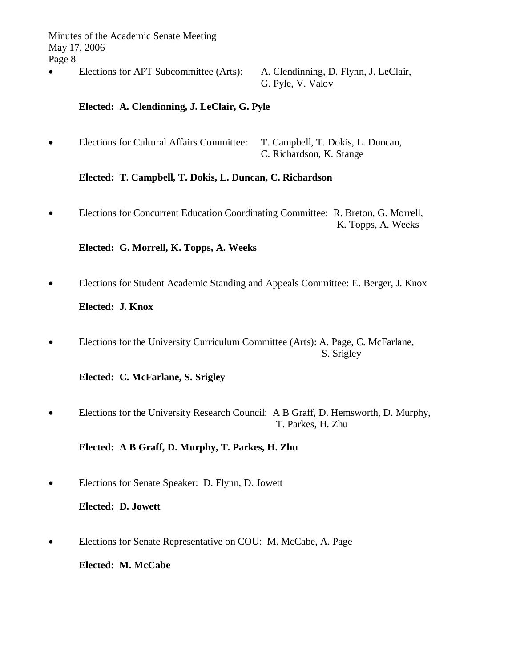Elections for APT Subcommittee (Arts): A. Clendinning, D. Flynn, J. LeClair,

G. Pyle, V. Valov

# **Elected: A. Clendinning, J. LeClair, G. Pyle**

 Elections for Cultural Affairs Committee: T. Campbell, T. Dokis, L. Duncan, C. Richardson, K. Stange

# **Elected: T. Campbell, T. Dokis, L. Duncan, C. Richardson**

 Elections for Concurrent Education Coordinating Committee: R. Breton, G. Morrell, K. Topps, A. Weeks

# **Elected: G. Morrell, K. Topps, A. Weeks**

Elections for Student Academic Standing and Appeals Committee: E. Berger, J. Knox

# **Elected: J. Knox**

 Elections for the University Curriculum Committee (Arts): A. Page, C. McFarlane, S. Srigley

# **Elected: C. McFarlane, S. Srigley**

 Elections for the University Research Council: A B Graff, D. Hemsworth, D. Murphy, T. Parkes, H. Zhu

# **Elected: A B Graff, D. Murphy, T. Parkes, H. Zhu**

Elections for Senate Speaker: D. Flynn, D. Jowett

# **Elected: D. Jowett**

Elections for Senate Representative on COU: M. McCabe, A. Page

**Elected: M. McCabe**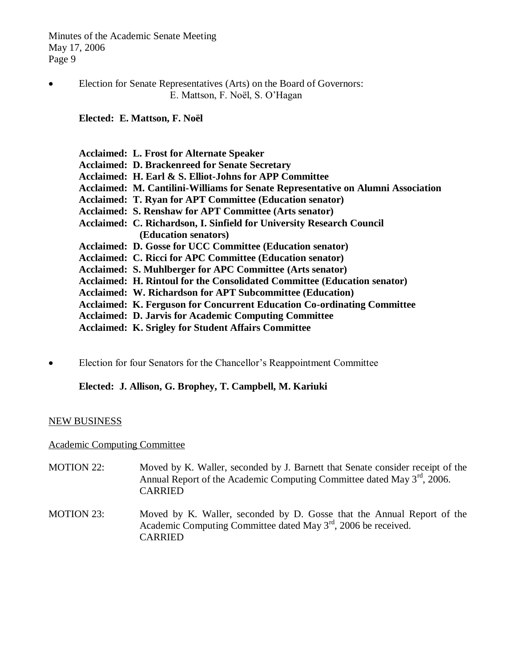Election for Senate Representatives (Arts) on the Board of Governors: E. Mattson, F. Noël, S. O'Hagan

**Elected: E. Mattson, F. Noël**

| <b>Acclaimed: L. Frost for Alternate Speaker</b>                                 |
|----------------------------------------------------------------------------------|
| <b>Acclaimed: D. Brackenreed for Senate Secretary</b>                            |
| Acclaimed: H. Earl & S. Elliot-Johns for APP Committee                           |
| Acclaimed: M. Cantilini-Williams for Senate Representative on Alumni Association |
| <b>Acclaimed: T. Ryan for APT Committee (Education senator)</b>                  |
| <b>Acclaimed: S. Renshaw for APT Committee (Arts senator)</b>                    |
| Acclaimed: C. Richardson, I. Sinfield for University Research Council            |
| (Education senators)                                                             |
| <b>Acclaimed: D. Gosse for UCC Committee (Education senator)</b>                 |
| Acclaimed: C. Ricci for APC Committee (Education senator)                        |
| Acclaimed: S. Muhlberger for APC Committee (Arts senator)                        |
| Acclaimed: H. Rintoul for the Consolidated Committee (Education senator)         |
| <b>Acclaimed: W. Richardson for APT Subcommittee (Education)</b>                 |
| <b>Acclaimed: K. Ferguson for Concurrent Education Co-ordinating Committee</b>   |
| <b>Acclaimed: D. Jarvis for Academic Computing Committee</b>                     |
| <b>Acclaimed: K. Srigley for Student Affairs Committee</b>                       |

Election for four Senators for the Chancellor's Reappointment Committee

**Elected: J. Allison, G. Brophey, T. Campbell, M. Kariuki**

# NEW BUSINESS

Academic Computing Committee

- MOTION 22: Moved by K. Waller, seconded by J. Barnett that Senate consider receipt of the Annual Report of the Academic Computing Committee dated May  $3<sup>rd</sup>$ , 2006. CARRIED MOTION 23: Moved by K. Waller, seconded by D. Gosse that the Annual Report of the
- Academic Computing Committee dated May 3rd, 2006 be received. CARRIED